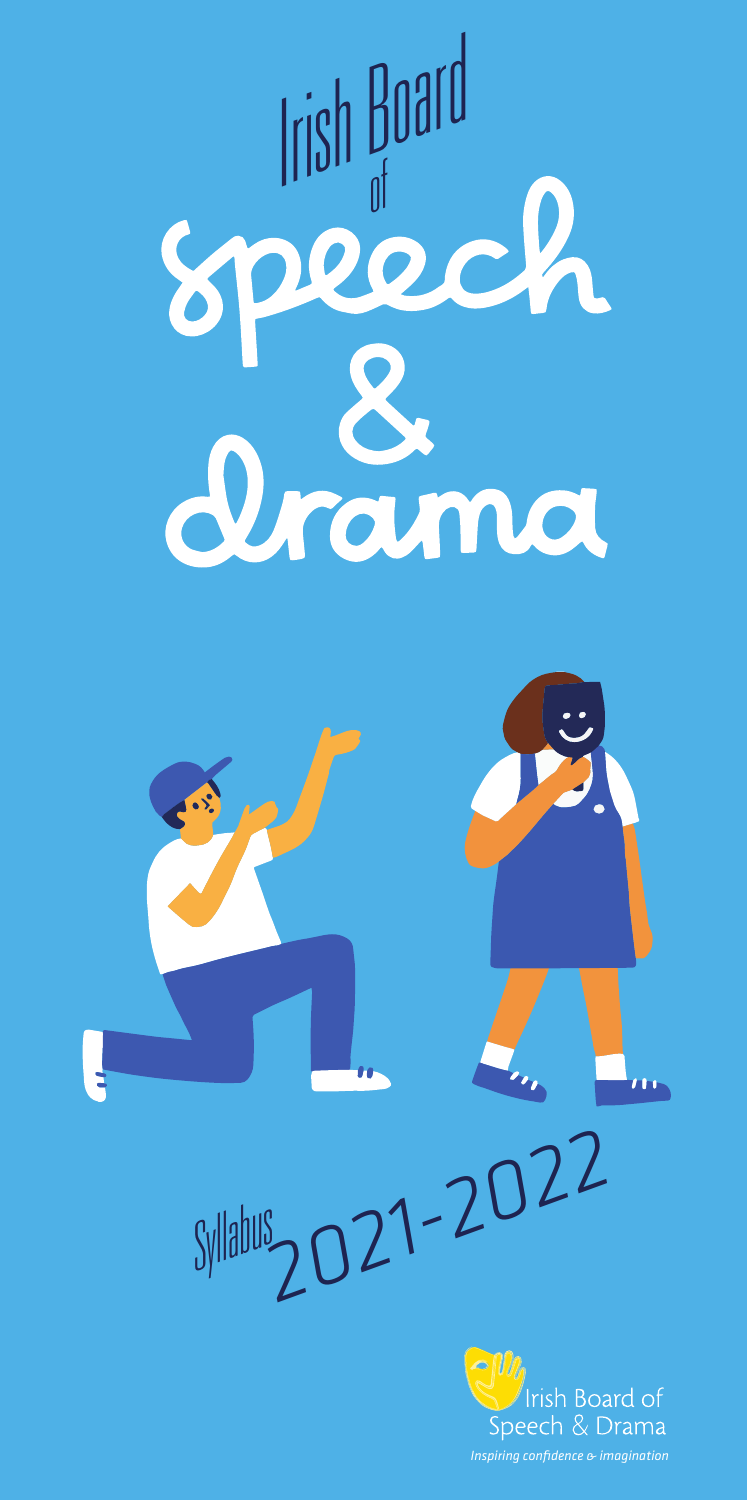

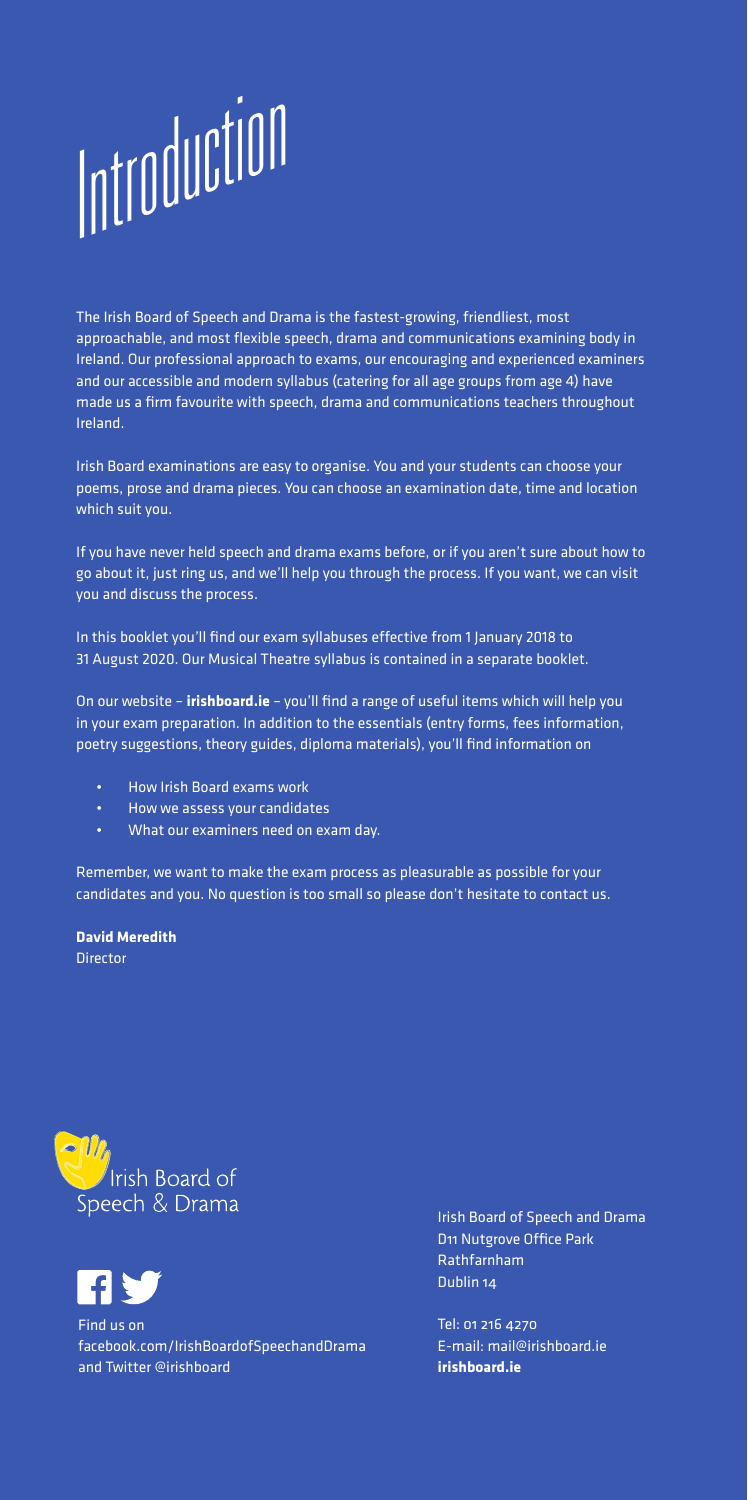# Introduction

The Irish Board of Speech and Drama is the fastest-growing, friendliest, most approachable, and most flexible speech, drama and communications examining body in Ireland. Our professional approach to exams, our encouraging and experienced examiners and our accessible and modern syllabus (catering for all age groups from age 4) have made us a firm favourite with speech, drama and communications teachers throughout Ireland.

Irish Board examinations are easy to organise. You and your students can choose your poems, prose and drama pieces. You can choose an examination date, time and location which suit you.

If you have never held speech and drama exams before, or if you aren't sure about how to go about it, just ring us, and we'll help you through the process. If you want, we can visit you and discuss the process.

In this booklet you'll find our exam syllabuses effective from 1 January 2018 to 31 August 2020. Our Musical Theatre syllabus is contained in a separate booklet.

On our website – **irishboard.ie** – you'll find a range of useful items which will help you in your exam preparation. In addition to the essentials (entry forms, fees information, poetry suggestions, theory guides, diploma materials), you'll find information on

- How Irish Board exams work
- How we assess your candidates
- What our examiners need on exam day.

Remember, we want to make the exam process as pleasurable as possible for your candidates and you. No question is too small so please don't hesitate to contact us.

**David Meredith** Director





Find us on facebook.com/IrishBoardofSpeechandDrama and Twitter @irishboard

Irish Board of Speech and Drama D11 Nutgrove Office Park Rathfarnham Dublin 14

Tel: 01 216 4270 E-mail: mail@irishboard.ie **irishboard.ie**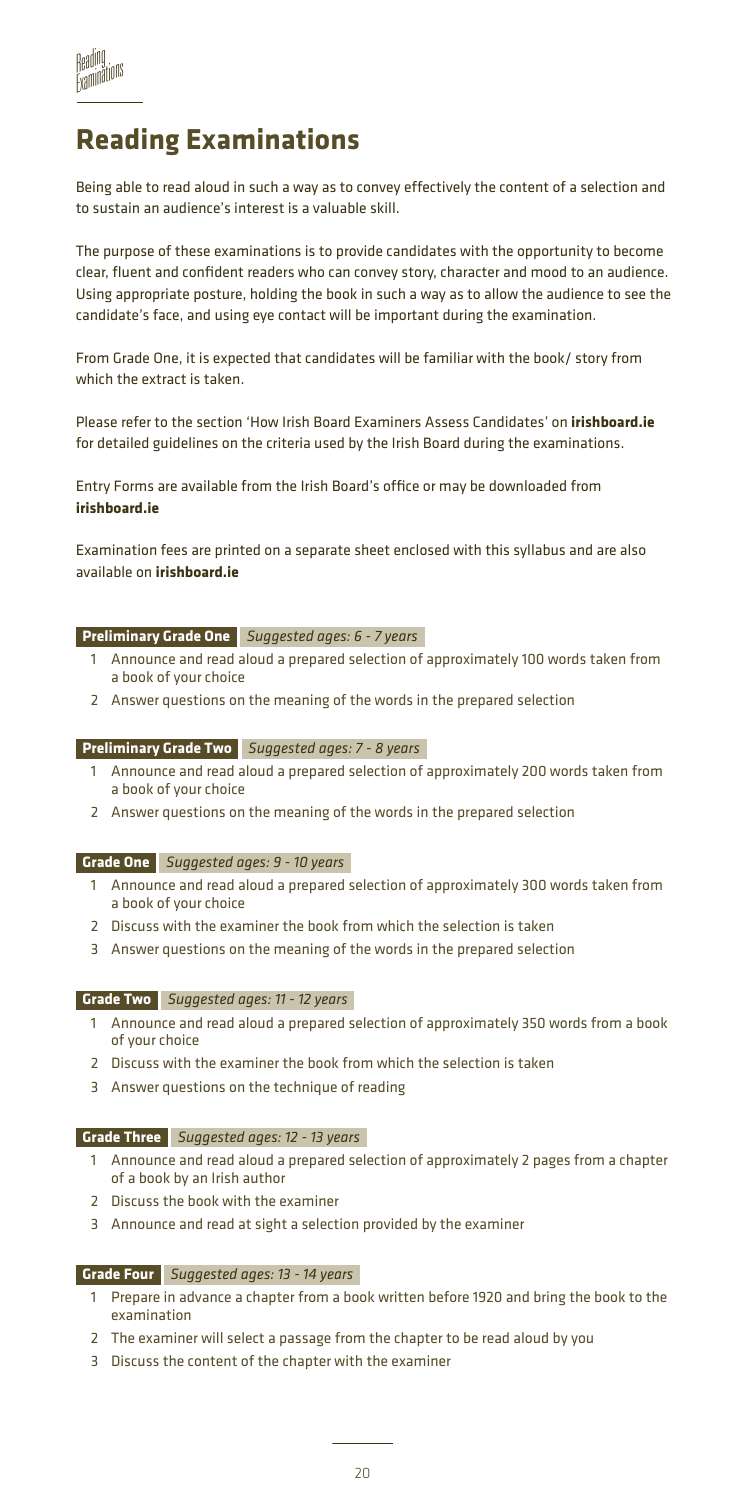## **Reading Examinations**

Being able to read aloud in such a way as to convey effectively the content of a selection and to sustain an audience's interest is a valuable skill.

The purpose of these examinations is to provide candidates with the opportunity to become clear, fluent and confident readers who can convey story, character and mood to an audience. Using appropriate posture, holding the book in such a way as to allow the audience to see the candidate's face, and using eye contact will be important during the examination.

From Grade One, it is expected that candidates will be familiar with the book/ story from which the extract is taken.

Please refer to the section 'How Irish Board Examiners Assess Candidates' on **irishboard.ie** for detailed guidelines on the criteria used by the Irish Board during the examinations.

Entry Forms are available from the Irish Board's office or may be downloaded from **irishboard.ie**

Examination fees are printed on a separate sheet enclosed with this syllabus and are also available on **irishboard.ie**

### **Preliminary Grade One** *Suggested ages: 6 - 7 years*

- 1 Announce and read aloud a prepared selection of approximately 100 words taken from a book of your choice
- 2 Answer questions on the meaning of the words in the prepared selection

### **Preliminary Grade Two** *Suggested ages: 7 - 8 years*

- 1 Announce and read aloud a prepared selection of approximately 200 words taken from a book of your choice
- 2 Answer questions on the meaning of the words in the prepared selection

### **Grade One** *Suggested ages: 9 - 10 years*

- 1 Announce and read aloud a prepared selection of approximately 300 words taken from a book of your choice
- 2 Discuss with the examiner the book from which the selection is taken
- 3 Answer questions on the meaning of the words in the prepared selection

### **Grade Two** *Suggested ages: 11 - 12 years*

- 1 Announce and read aloud a prepared selection of approximately 350 words from a book of your choice
- 2 Discuss with the examiner the book from which the selection is taken
- 3 Answer questions on the technique of reading

### **Grade Three** *Suggested ages: 12 - 13 years*

- 1 Announce and read aloud a prepared selection of approximately 2 pages from a chapter of a book by an Irish author
- 2 Discuss the book with the examiner
- 3 Announce and read at sight a selection provided by the examiner

### **Grade Four** *Suggested ages: 13 - 14 years*

- 1 Prepare in advance a chapter from a book written before 1920 and bring the book to the examination
- 2 The examiner will select a passage from the chapter to be read aloud by you
- 3 Discuss the content of the chapter with the examiner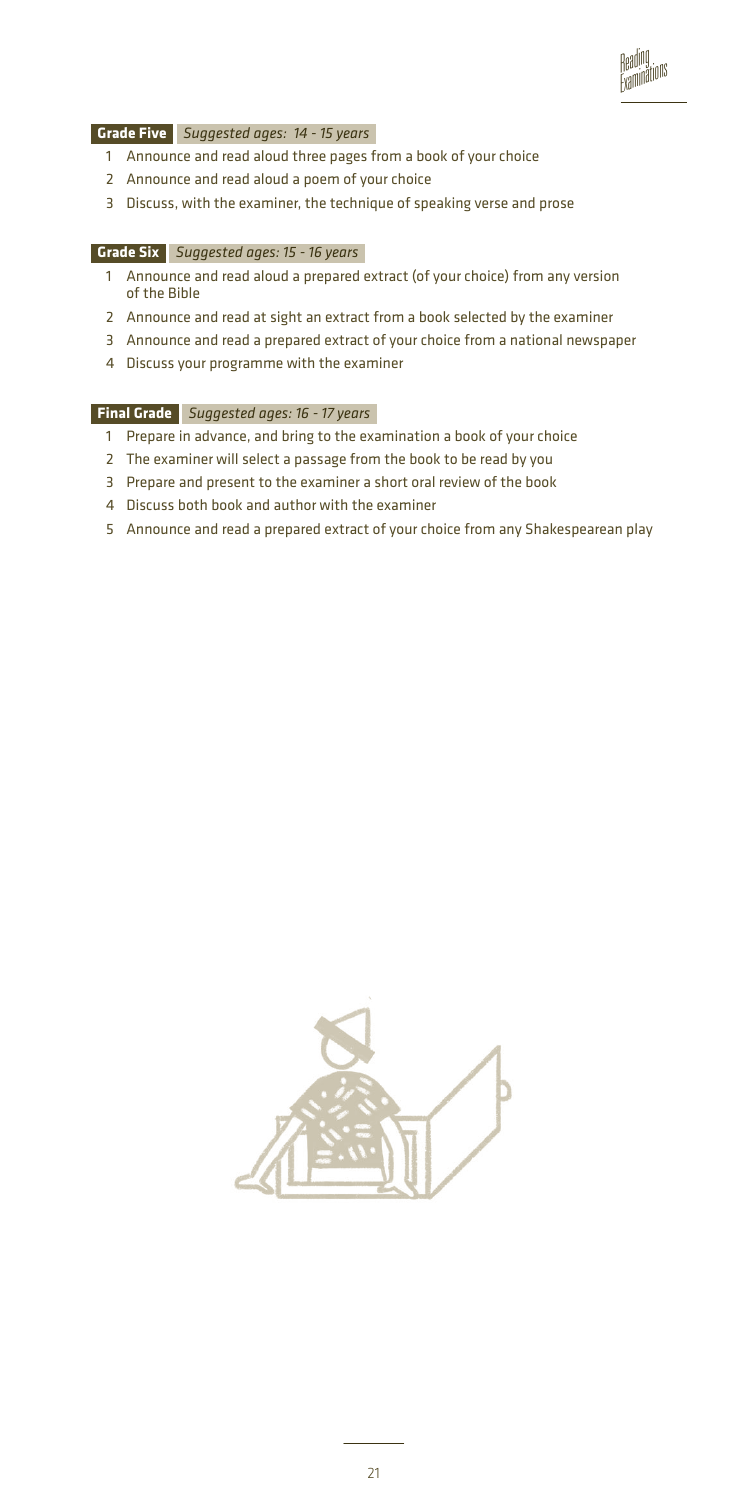

### **Grade Five** *Suggested ages: 14 - 15 years*

- 1 Announce and read aloud three pages from a book of your choice
- 2 Announce and read aloud a poem of your choice
- 3 Discuss, with the examiner, the technique of speaking verse and prose

### **Grade Six** *Suggested ages: 15 - 16 years*

- 1 Announce and read aloud a prepared extract (of your choice) from any version of the Bible
- 2 Announce and read at sight an extract from a book selected by the examiner
- 3 Announce and read a prepared extract of your choice from a national newspaper
- 4 Discuss your programme with the examiner

### **Final Grade** *Suggested ages: 16 - 17 years*

- 1 Prepare in advance, and bring to the examination a book of your choice
- 2 The examiner will select a passage from the book to be read by you
- 3 Prepare and present to the examiner a short oral review of the book
- 4 Discuss both book and author with the examiner
- 5 Announce and read a prepared extract of your choice from any Shakespearean play